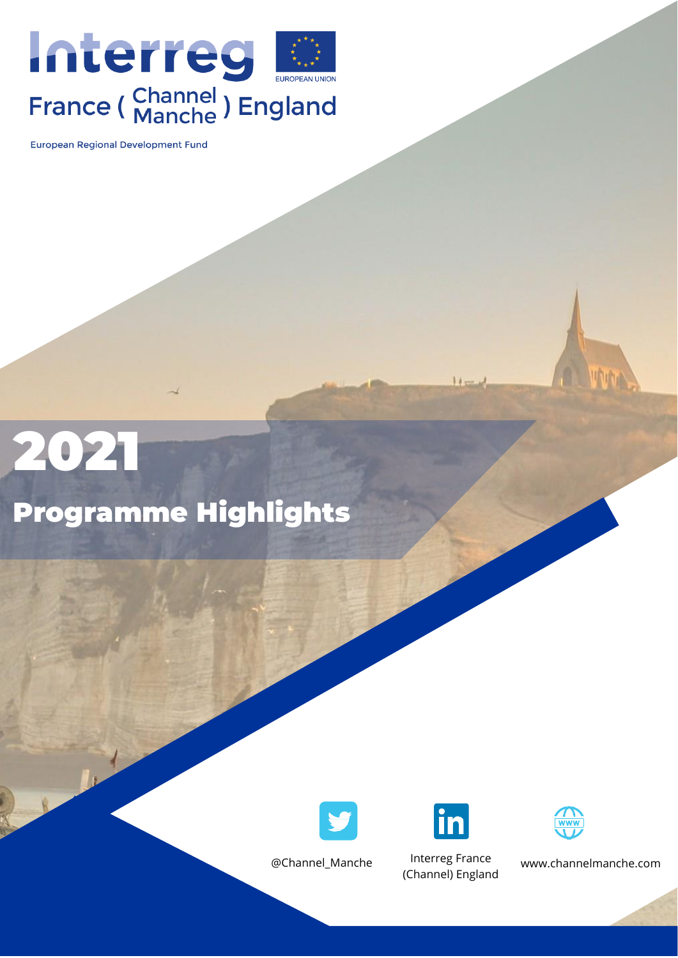

European Regional Development Fund

# 2021

### Programme Highlights





 $11-$ 

@Channel\_Manche Interreg France (Channel) England



www.channelmanche.com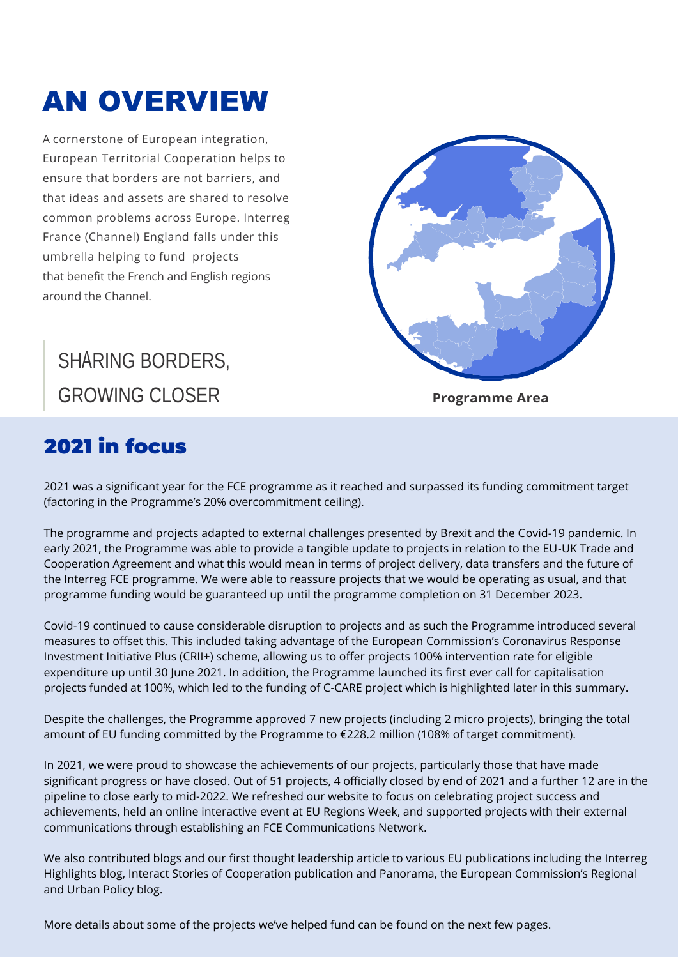## AN OVERVIEW

A cornerstone of European integration, European Territorial Cooperation helps to ensure that borders are not barriers, and that ideas and assets are shared to resolve common problems across Europe. Interreg France (Channel) England falls under this umbrella helping to fund projects that benefit the French and English regions around the Channel.

### SHARING BORDERS, GROWING CLOSER **Programme Area**

### 2021 in focus

2021 was a significant year for the FCE programme as it reached and surpassed its funding commitment target (factoring in the Programme's 20% overcommitment ceiling).

The programme and projects adapted to external challenges presented by Brexit and the Covid-19 pandemic. In early 2021, the Programme was able to provide a tangible update to projects in relation to the EU-UK Trade and Cooperation Agreement and what this would mean in terms of project delivery, data transfers and the future of the Interreg FCE programme. We were able to reassure projects that we would be operating as usual, and that programme funding would be guaranteed up until the programme completion on 31 December 2023.

Covid-19 continued to cause considerable disruption to projects and as such the Programme introduced several measures to offset this. This included taking advantage of the European Commission's Coronavirus Response Investment Initiative Plus (CRII+) scheme, allowing us to offer projects 100% intervention rate for eligible expenditure up until 30 June 2021. In addition, the Programme launched its first ever call for capitalisation projects funded at 100%, which led to the funding of C-CARE project which is highlighted later in this summary.

Despite the challenges, the Programme approved 7 new projects (including 2 micro projects), bringing the total amount of EU funding committed by the Programme to €228.2 million (108% of target commitment).

In 2021, we were proud to showcase the achievements of our projects, particularly those that have made significant progress or have closed. Out of 51 projects, 4 officially closed by end of 2021 and a further 12 are in the pipeline to close early to mid-2022. We refreshed our website to focus on celebrating project success and achievements, held an online interactive event at EU Regions Week, and supported projects with their external communications through establishing an FCE Communications Network.

We also contributed blogs and our first thought leadership article to various EU publications including the Interreg Highlights blog, Interact Stories of Cooperation publication and Panorama, the European Commission's Regional and Urban Policy blog.

More details about some of the projects we've helped fund can be found on the next few pages.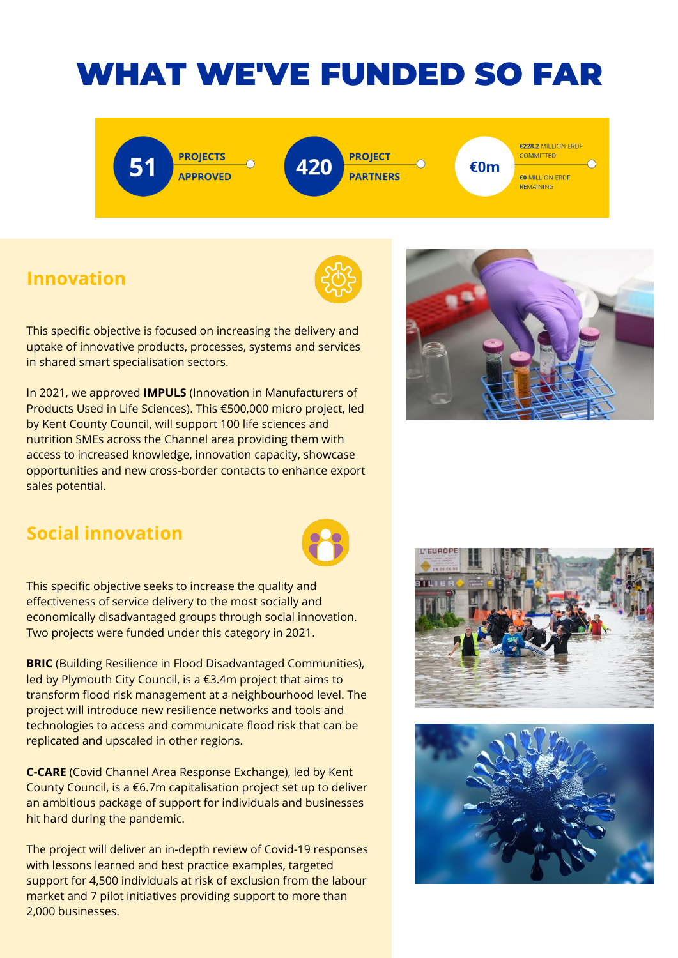### WHAT WE'VE FUNDED SO FAR

**PROJECTS APPROVED**  **PROJECT PARTNERS**  €228.2 MILLION ERDF **COMMITTED €0 MILLION FRDE REMAINING** 

€0m

### **Innovation**



This specific objective is focused on increasing the delivery and uptake of innovative products, processes, systems and services in shared smart specialisation sectors.

In 2021, we approved **IMPULS** (Innovation in Manufacturers of Products Used in Life Sciences). This €500,000 micro project, led by Kent County Council, will support 100 life sciences and nutrition SMEs across the Channel area providing them with access to increased knowledge, innovation capacity, showcase opportunities and new cross-border contacts to enhance export sales potential.



#### **Social innovation**



This specific objective seeks to increase the quality and effectiveness of service delivery to the most socially and economically disadvantaged groups through social innovation. Two projects were funded under this category in 2021.

**BRIC** (Building Resilience in Flood Disadvantaged Communities), led by Plymouth City Council, is a €3.4m project that aims to transform flood risk management at a neighbourhood level. The project will introduce new resilience networks and tools and technologies to access and communicate flood risk that can be replicated and upscaled in other regions.

**C-CARE** (Covid Channel Area Response Exchange), led by Kent County Council, is a €6.7m capitalisation project set up to deliver an ambitious package of support for individuals and businesses hit hard during the pandemic.

The project will deliver an in-depth review of Covid-19 responses with lessons learned and best practice examples, targeted support for 4,500 individuals at risk of exclusion from the labour market and 7 pilot initiatives providing support to more than 2,000 businesses.